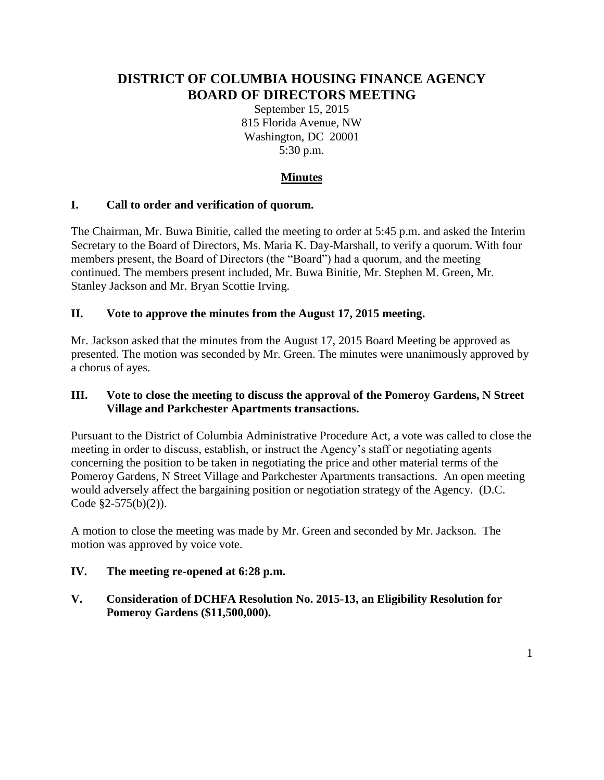# **DISTRICT OF COLUMBIA HOUSING FINANCE AGENCY BOARD OF DIRECTORS MEETING**

September 15, 2015 815 Florida Avenue, NW Washington, DC 20001 5:30 p.m.

## **Minutes**

## **I. Call to order and verification of quorum.**

The Chairman, Mr. Buwa Binitie, called the meeting to order at 5:45 p.m. and asked the Interim Secretary to the Board of Directors, Ms. Maria K. Day-Marshall, to verify a quorum. With four members present, the Board of Directors (the "Board") had a quorum, and the meeting continued. The members present included, Mr. Buwa Binitie, Mr. Stephen M. Green, Mr. Stanley Jackson and Mr. Bryan Scottie Irving.

## **II. Vote to approve the minutes from the August 17, 2015 meeting.**

Mr. Jackson asked that the minutes from the August 17, 2015 Board Meeting be approved as presented. The motion was seconded by Mr. Green. The minutes were unanimously approved by a chorus of ayes.

## **III. Vote to close the meeting to discuss the approval of the Pomeroy Gardens, N Street Village and Parkchester Apartments transactions.**

Pursuant to the District of Columbia Administrative Procedure Act, a vote was called to close the meeting in order to discuss, establish, or instruct the Agency's staff or negotiating agents concerning the position to be taken in negotiating the price and other material terms of the Pomeroy Gardens, N Street Village and Parkchester Apartments transactions. An open meeting would adversely affect the bargaining position or negotiation strategy of the Agency. (D.C. Code §2-575(b)(2)).

A motion to close the meeting was made by Mr. Green and seconded by Mr. Jackson. The motion was approved by voice vote.

## **IV. The meeting re-opened at 6:28 p.m.**

**V. Consideration of DCHFA Resolution No. 2015-13, an Eligibility Resolution for Pomeroy Gardens (\$11,500,000).**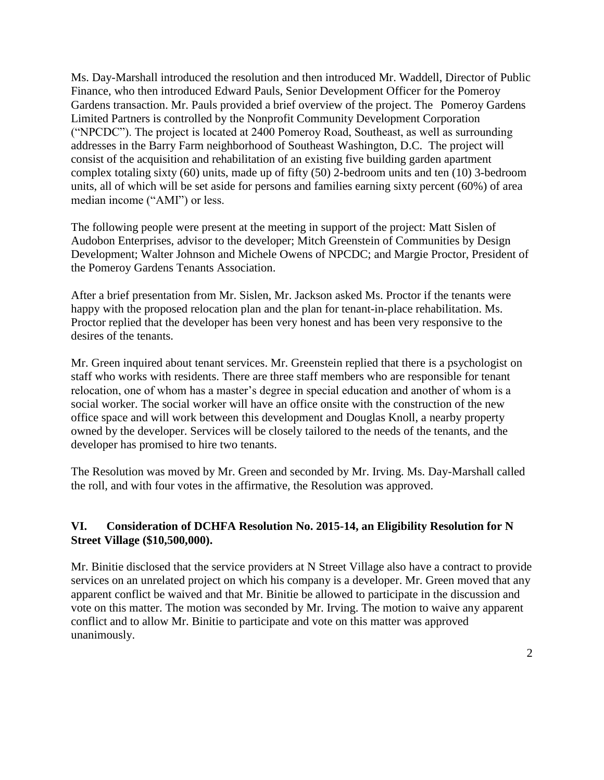Ms. Day-Marshall introduced the resolution and then introduced Mr. Waddell, Director of Public Finance, who then introduced Edward Pauls, Senior Development Officer for the Pomeroy Gardens transaction. Mr. Pauls provided a brief overview of the project. The Pomeroy Gardens Limited Partners is controlled by the Nonprofit Community Development Corporation ("NPCDC"). The project is located at 2400 Pomeroy Road, Southeast, as well as surrounding addresses in the Barry Farm neighborhood of Southeast Washington, D.C. The project will consist of the acquisition and rehabilitation of an existing five building garden apartment complex totaling sixty (60) units, made up of fifty (50) 2-bedroom units and ten (10) 3-bedroom units, all of which will be set aside for persons and families earning sixty percent (60%) of area median income ("AMI") or less.

The following people were present at the meeting in support of the project: Matt Sislen of Audobon Enterprises, advisor to the developer; Mitch Greenstein of Communities by Design Development; Walter Johnson and Michele Owens of NPCDC; and Margie Proctor, President of the Pomeroy Gardens Tenants Association.

After a brief presentation from Mr. Sislen, Mr. Jackson asked Ms. Proctor if the tenants were happy with the proposed relocation plan and the plan for tenant-in-place rehabilitation. Ms. Proctor replied that the developer has been very honest and has been very responsive to the desires of the tenants.

Mr. Green inquired about tenant services. Mr. Greenstein replied that there is a psychologist on staff who works with residents. There are three staff members who are responsible for tenant relocation, one of whom has a master's degree in special education and another of whom is a social worker. The social worker will have an office onsite with the construction of the new office space and will work between this development and Douglas Knoll, a nearby property owned by the developer. Services will be closely tailored to the needs of the tenants, and the developer has promised to hire two tenants.

The Resolution was moved by Mr. Green and seconded by Mr. Irving. Ms. Day-Marshall called the roll, and with four votes in the affirmative, the Resolution was approved.

## **VI. Consideration of DCHFA Resolution No. 2015-14, an Eligibility Resolution for N Street Village (\$10,500,000).**

Mr. Binitie disclosed that the service providers at N Street Village also have a contract to provide services on an unrelated project on which his company is a developer. Mr. Green moved that any apparent conflict be waived and that Mr. Binitie be allowed to participate in the discussion and vote on this matter. The motion was seconded by Mr. Irving. The motion to waive any apparent conflict and to allow Mr. Binitie to participate and vote on this matter was approved unanimously.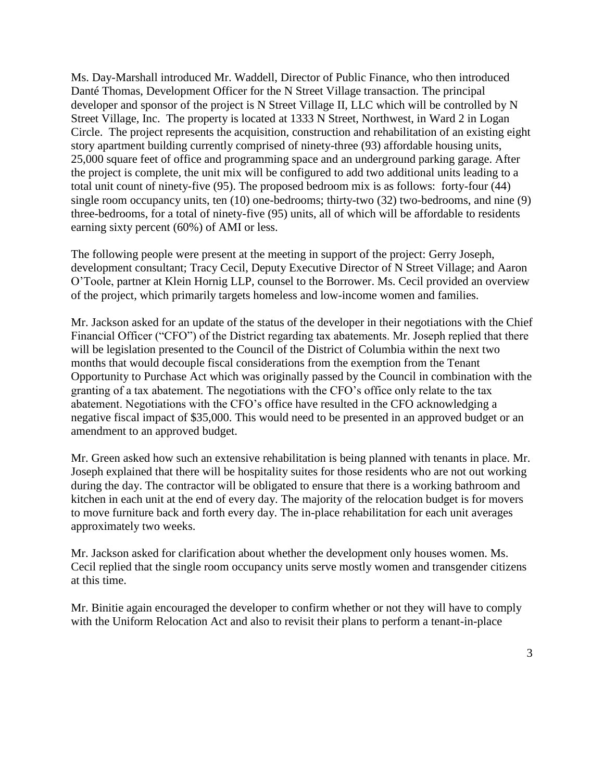Ms. Day-Marshall introduced Mr. Waddell, Director of Public Finance, who then introduced Danté Thomas, Development Officer for the N Street Village transaction. The principal developer and sponsor of the project is N Street Village II, LLC which will be controlled by N Street Village, Inc. The property is located at 1333 N Street, Northwest, in Ward 2 in Logan Circle. The project represents the acquisition, construction and rehabilitation of an existing eight story apartment building currently comprised of ninety-three (93) affordable housing units, 25,000 square feet of office and programming space and an underground parking garage. After the project is complete, the unit mix will be configured to add two additional units leading to a total unit count of ninety-five (95). The proposed bedroom mix is as follows: forty-four (44) single room occupancy units, ten (10) one-bedrooms; thirty-two (32) two-bedrooms, and nine (9) three-bedrooms, for a total of ninety-five (95) units, all of which will be affordable to residents earning sixty percent (60%) of AMI or less.

The following people were present at the meeting in support of the project: Gerry Joseph, development consultant; Tracy Cecil, Deputy Executive Director of N Street Village; and Aaron O'Toole, partner at Klein Hornig LLP, counsel to the Borrower. Ms. Cecil provided an overview of the project, which primarily targets homeless and low-income women and families.

Mr. Jackson asked for an update of the status of the developer in their negotiations with the Chief Financial Officer ("CFO") of the District regarding tax abatements. Mr. Joseph replied that there will be legislation presented to the Council of the District of Columbia within the next two months that would decouple fiscal considerations from the exemption from the Tenant Opportunity to Purchase Act which was originally passed by the Council in combination with the granting of a tax abatement. The negotiations with the CFO's office only relate to the tax abatement. Negotiations with the CFO's office have resulted in the CFO acknowledging a negative fiscal impact of \$35,000. This would need to be presented in an approved budget or an amendment to an approved budget.

Mr. Green asked how such an extensive rehabilitation is being planned with tenants in place. Mr. Joseph explained that there will be hospitality suites for those residents who are not out working during the day. The contractor will be obligated to ensure that there is a working bathroom and kitchen in each unit at the end of every day. The majority of the relocation budget is for movers to move furniture back and forth every day. The in-place rehabilitation for each unit averages approximately two weeks.

Mr. Jackson asked for clarification about whether the development only houses women. Ms. Cecil replied that the single room occupancy units serve mostly women and transgender citizens at this time.

Mr. Binitie again encouraged the developer to confirm whether or not they will have to comply with the Uniform Relocation Act and also to revisit their plans to perform a tenant-in-place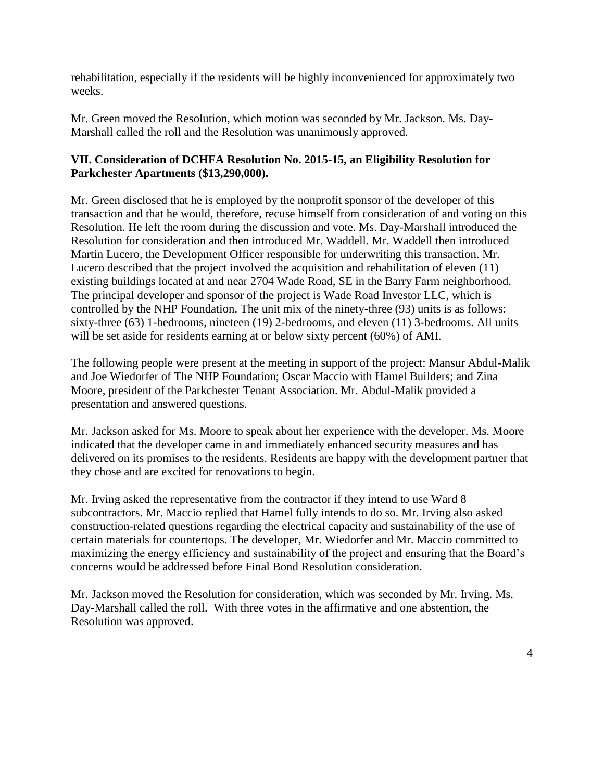rehabilitation, especially if the residents will be highly inconvenienced for approximately two weeks.

Mr. Green moved the Resolution, which motion was seconded by Mr. Jackson. Ms. Day-Marshall called the roll and the Resolution was unanimously approved.

## **VII. Consideration of DCHFA Resolution No. 2015-15, an Eligibility Resolution for Parkchester Apartments (\$13,290,000).**

Mr. Green disclosed that he is employed by the nonprofit sponsor of the developer of this transaction and that he would, therefore, recuse himself from consideration of and voting on this Resolution. He left the room during the discussion and vote. Ms. Day-Marshall introduced the Resolution for consideration and then introduced Mr. Waddell. Mr. Waddell then introduced Martin Lucero, the Development Officer responsible for underwriting this transaction. Mr. Lucero described that the project involved the acquisition and rehabilitation of eleven (11) existing buildings located at and near 2704 Wade Road, SE in the Barry Farm neighborhood. The principal developer and sponsor of the project is Wade Road Investor LLC, which is controlled by the NHP Foundation. The unit mix of the ninety-three (93) units is as follows: sixty-three (63) 1-bedrooms, nineteen (19) 2-bedrooms, and eleven (11) 3-bedrooms. All units will be set aside for residents earning at or below sixty percent (60%) of AMI.

The following people were present at the meeting in support of the project: Mansur Abdul-Malik and Joe Wiedorfer of The NHP Foundation; Oscar Maccio with Hamel Builders; and Zina Moore, president of the Parkchester Tenant Association. Mr. Abdul-Malik provided a presentation and answered questions.

Mr. Jackson asked for Ms. Moore to speak about her experience with the developer. Ms. Moore indicated that the developer came in and immediately enhanced security measures and has delivered on its promises to the residents. Residents are happy with the development partner that they chose and are excited for renovations to begin.

Mr. Irving asked the representative from the contractor if they intend to use Ward 8 subcontractors. Mr. Maccio replied that Hamel fully intends to do so. Mr. Irving also asked construction-related questions regarding the electrical capacity and sustainability of the use of certain materials for countertops. The developer, Mr. Wiedorfer and Mr. Maccio committed to maximizing the energy efficiency and sustainability of the project and ensuring that the Board's concerns would be addressed before Final Bond Resolution consideration.

Mr. Jackson moved the Resolution for consideration, which was seconded by Mr. Irving. Ms. Day-Marshall called the roll. With three votes in the affirmative and one abstention, the Resolution was approved.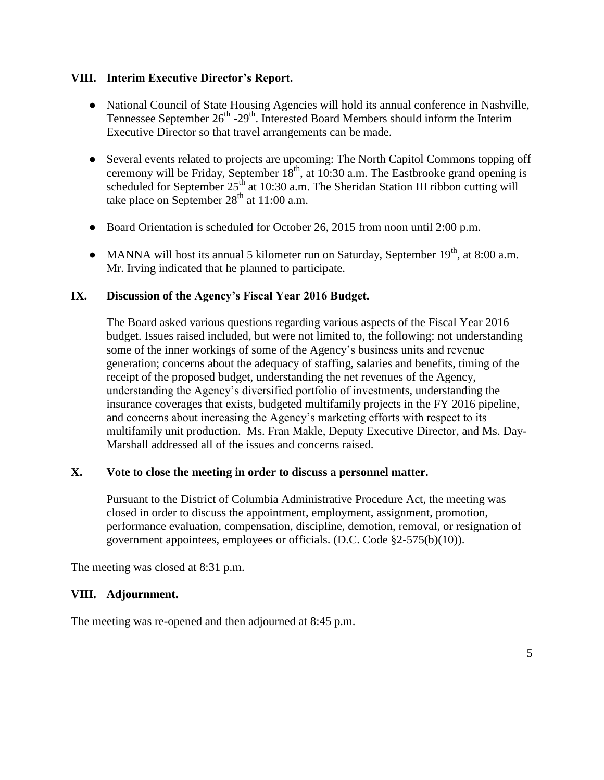#### **VIII. Interim Executive Director's Report.**

- National Council of State Housing Agencies will hold its annual conference in Nashville, Tennessee September  $26^{th}$  - $29^{th}$ . Interested Board Members should inform the Interim Executive Director so that travel arrangements can be made.
- Several events related to projects are upcoming: The North Capitol Commons topping off ceremony will be Friday, September  $18<sup>th</sup>$ , at 10:30 a.m. The Eastbrooke grand opening is scheduled for September 25<sup>th</sup> at 10:30 a.m. The Sheridan Station III ribbon cutting will take place on September  $28<sup>th</sup>$  at 11:00 a.m.
- Board Orientation is scheduled for October 26, 2015 from noon until 2:00 p.m.
- MANNA will host its annual 5 kilometer run on Saturday, September  $19<sup>th</sup>$ , at 8:00 a.m. Mr. Irving indicated that he planned to participate.

#### **IX. Discussion of the Agency's Fiscal Year 2016 Budget.**

The Board asked various questions regarding various aspects of the Fiscal Year 2016 budget. Issues raised included, but were not limited to, the following: not understanding some of the inner workings of some of the Agency's business units and revenue generation; concerns about the adequacy of staffing, salaries and benefits, timing of the receipt of the proposed budget, understanding the net revenues of the Agency, understanding the Agency's diversified portfolio of investments, understanding the insurance coverages that exists, budgeted multifamily projects in the FY 2016 pipeline, and concerns about increasing the Agency's marketing efforts with respect to its multifamily unit production. Ms. Fran Makle, Deputy Executive Director, and Ms. Day-Marshall addressed all of the issues and concerns raised.

#### **X. Vote to close the meeting in order to discuss a personnel matter.**

Pursuant to the District of Columbia Administrative Procedure Act, the meeting was closed in order to discuss the appointment, employment, assignment, promotion, performance evaluation, compensation, discipline, demotion, removal, or resignation of government appointees, employees or officials. (D.C. Code §2-575(b)(10)).

The meeting was closed at 8:31 p.m.

#### **VIII. Adjournment.**

The meeting was re-opened and then adjourned at 8:45 p.m.